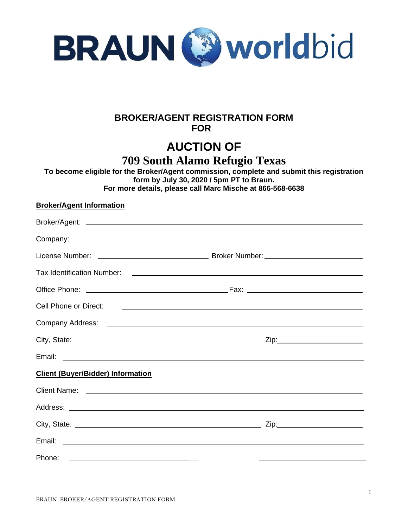

## **BROKER/AGENT REGISTRATION FORM**  *FOR*

# **AUCTION OF**

**709 South Alamo Refugio Texas**

**To become eligible for the Broker/Agent commission, complete and submit this registration form by July 30, 2020 / 5pm PT to Braun. For more details, please call Marc Mische at 866-568-6638**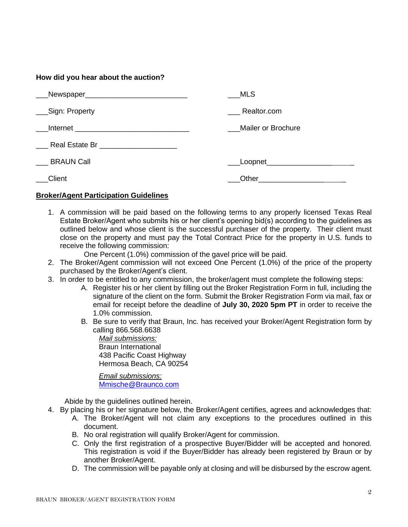### **How did you hear about the auction?**

|                   | MLS                |
|-------------------|--------------------|
| ___Sign: Property | Realtor.com        |
|                   | Mailer or Brochure |
|                   |                    |
| <b>BRAUN Call</b> | Loopnet___________ |
| Client            | Other              |

#### **Broker/Agent Participation Guidelines**

- 1. A commission will be paid based on the following terms to any properly licensed Texas Real Estate Broker/Agent who submits his or her client's opening bid(s) according to the guidelines as outlined below and whose client is the successful purchaser of the property. Their client must close on the property and must pay the Total Contract Price for the property in U.S. funds to receive the following commission:
	- One Percent (1.0%) commission of the gavel price will be paid.
- 2. The Broker/Agent commission will not exceed One Percent (1.0%) of the price of the property purchased by the Broker/Agent's client.
- 3. In order to be entitled to any commission, the broker/agent must complete the following steps:
	- A. Register his or her client by filling out the Broker Registration Form in full, including the signature of the client on the form. Submit the Broker Registration Form via mail, fax or email for receipt before the deadline of **July 30, 2020 5pm PT** in order to receive the 1.0% commission.
	- B. Be sure to verify that Braun, Inc. has received your Broker/Agent Registration form by calling 866.568.6638

*Mail submissions:*  Braun International 438 Pacific Coast Highway Hermosa Beach, CA 90254

*Email submissions:* [Mmische@Braunco.com](mailto:Mmische@Braunco.com)

Abide by the guidelines outlined herein.

- 4. By placing his or her signature below, the Broker/Agent certifies, agrees and acknowledges that:
	- A. The Broker/Agent will not claim any exceptions to the procedures outlined in this document.
	- B. No oral registration will qualify Broker/Agent for commission.
	- C. Only the first registration of a prospective Buyer/Bidder will be accepted and honored. This registration is void if the Buyer/Bidder has already been registered by Braun or by another Broker/Agent.
	- D. The commission will be payable only at closing and will be disbursed by the escrow agent.